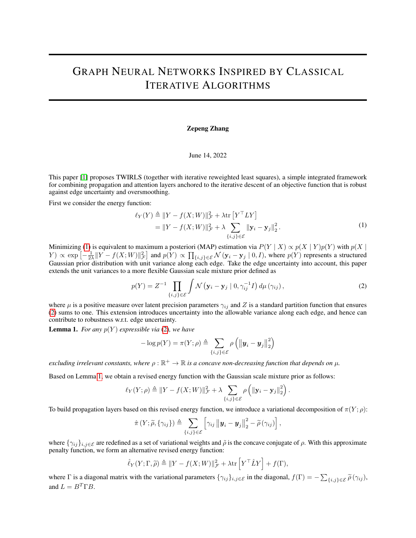## GRAPH NEURAL NETWORKS INSPIRED BY CLASSICAL ITERATIVE ALGORITHMS

## Zepeng Zhang

## June 14, 2022

This paper [\[1\]](#page-1-0) proposes TWIRLS (together with iterative reweighted least squares), a simple integrated framework for combining propagation and attention layers anchored to the iterative descent of an objective function that is robust against edge uncertainty and oversmoothing.

First we consider the energy function:

<span id="page-0-0"></span>
$$
\ell_Y(Y) \triangleq ||Y - f(X;W)||_{\mathcal{F}}^2 + \lambda \text{tr}\left[Y^\top LY\right] \n= ||Y - f(X;W)||_{\mathcal{F}}^2 + \lambda \sum_{\{i,j\} \in \mathcal{E}} ||\mathbf{y}_i - \mathbf{y}_j||_2^2.
$$
\n(1)

Minimizing [\(1\)](#page-0-0) is equivalent to maximum a posteriori (MAP) estimation via  $P(Y | X) \propto p(X | Y)p(Y)$  with  $p(X | Y)$  $(Y) \propto \exp\left[-\frac{1}{2\lambda}||Y - f(X;W)||_{\mathcal{F}}^2\right]$  and  $p(Y) \propto \prod_{\{i,j\} \in \mathcal{E}} \mathcal{N}(\mathbf{y}_i - \mathbf{y}_j \mid 0, I)$ , where  $p(Y)$  represents a structured Gaussian prior distribution with unit variance along each edge. Take the edge uncertainty into account, this paper extends the unit variances to a more flexible Gaussian scale mixture prior defined as

<span id="page-0-1"></span>
$$
p(Y) = Z^{-1} \prod_{\{i,j\} \in \mathcal{E}} \int \mathcal{N} \left( \mathbf{y}_i - \mathbf{y}_j \mid 0, \gamma_{ij}^{-1} I \right) d\mu \left( \gamma_{ij} \right), \tag{2}
$$

where  $\mu$  is a positive measure over latent precision parameters  $\gamma_{ij}$  and Z is a standard partition function that ensures [\(2\)](#page-0-1) sums to one. This extension introduces uncertainty into the allowable variance along each edge, and hence can contribute to robustness w.r.t. edge uncertainty.

<span id="page-0-2"></span>**Lemma 1.** *For any*  $p(Y)$  *expressible via* [\(2\)](#page-0-1)*, we have* 

$$
-\log p(Y) = \pi(Y; \rho) \triangleq \sum_{\{i,j\} \in \mathcal{E}} \rho \left( \left\| \boldsymbol{y}_i - \boldsymbol{y}_j \right\|_2^2 \right)
$$

*excluding irrelevant constants, where*  $\rho : \mathbb{R}^+ \to \mathbb{R}$  *is a concave non-decreasing function that depends on*  $\mu$ *.* 

Based on Lemma [1,](#page-0-2) we obtain a revised energy function with the Gaussian scale mixture prior as follows:

$$
\ell_Y(Y;\rho) \triangleq ||Y - f(X;W)||_{\mathcal{F}}^2 + \lambda \sum_{\{i,j\} \in \mathcal{E}} \rho \left( ||\mathbf{y}_i - \mathbf{y}_j||_2^2 \right).
$$

To build propagation layers based on this revised energy function, we introduce a variational decomposition of  $\pi(Y; \rho)$ :

$$
\hat{\pi}(Y;\widetilde{\rho},\{\gamma_{ij}\}) \triangleq \sum_{\{i,j\} \in \mathcal{E}} \left[ \gamma_{ij} \left\| \boldsymbol{y}_i - \boldsymbol{y}_j \right\|_2^2 - \widetilde{\rho}(\gamma_{ij}) \right],
$$

where  $\{\gamma_{ij}\}_{i,j\in\mathcal{E}}$  are redefined as a set of variational weights and  $\tilde{\rho}$  is the concave conjugate of  $\rho$ . With this approximate penalty function, we form an alternative revised energy function:

$$
\hat{\ell}_Y(Y; \Gamma, \widetilde{\rho}) \triangleq ||Y - f(X; W)||^2_{\mathcal{F}} + \lambda \text{tr}\left[Y^{\top} \hat{L} Y\right] + f(\Gamma),
$$

where  $\Gamma$  is a diagonal matrix with the variational parameters  $\{\gamma_{ij}\}_{i,j\in\mathcal{E}}$  in the diagonal,  $f(\Gamma) = -\sum_{\{i,j\}\in\mathcal{E}} \widetilde{\rho}(\gamma_{ij}),$ and  $L = B^T \Gamma B$ .